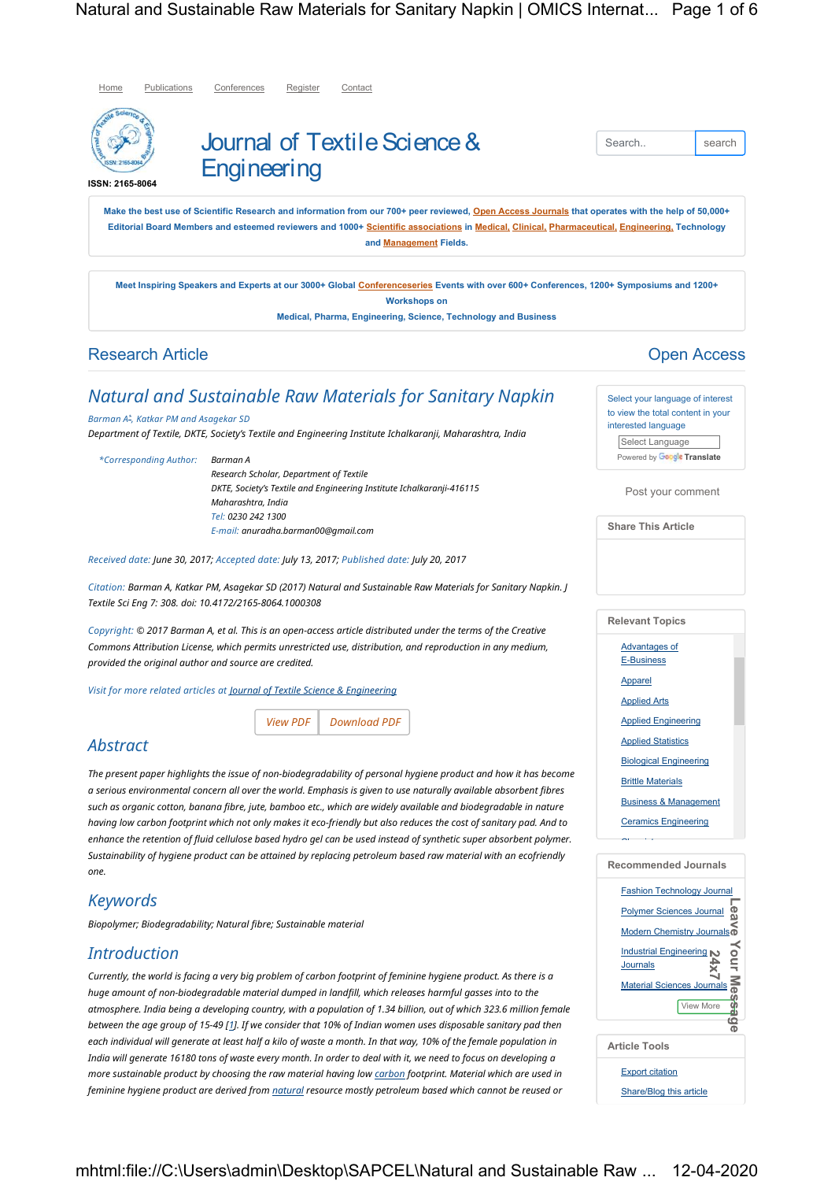

*huge amount of non-biodegradable material dumped in landfill, which releases harmful gasses into to the atmosphere. India being a developing country, with a population of 1.34 billion, out of which 323.6 million female between the age group of 15-49 [1]. If we consider that 10% of Indian women uses disposable sanitary pad then each individual will generate at least half a kilo of waste a month. In that way, 10% of the female population in India will generate 16180 tons of waste every month. In order to deal with it, we need to focus on developing a more sustainable product by choosing the raw material having low carbon footprint. Material which are used in feminine hygiene product are derived from natural resource mostly petroleum based which cannot be reused or*

**Article Tools**

Export citation Share/Blog this article

View More

Ġ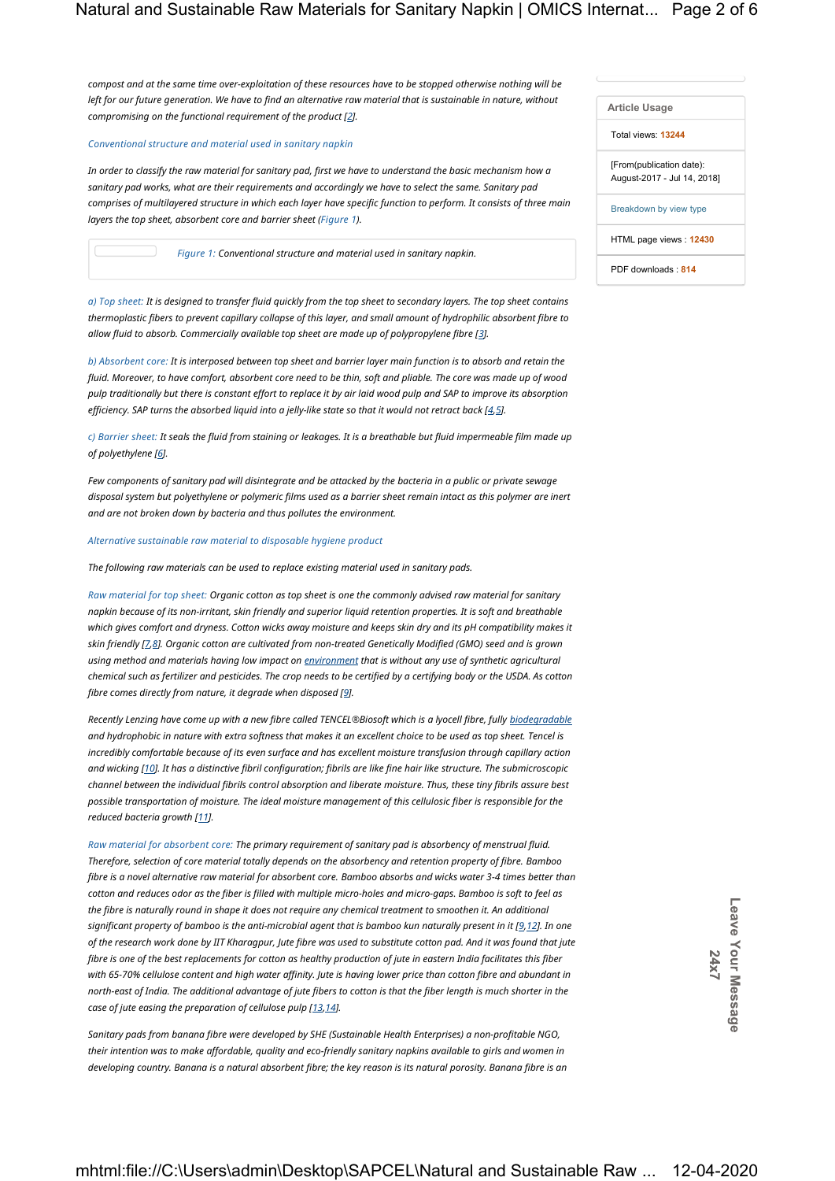*compost and at the same time over-exploitation of these resources have to be stopped otherwise nothing will be left for our future generation. We have to find an alternative raw material that is sustainable in nature, without compromising on the functional requirement of the product [2].*

*Conventional structure and material used in sanitary napkin*

*In order to classify the raw material for sanitary pad, first we have to understand the basic mechanism how a sanitary pad works, what are their requirements and accordingly we have to select the same. Sanitary pad comprises of multilayered structure in which each layer have specific function to perform. It consists of three main layers the top sheet, absorbent core and barrier sheet (Figure 1).*

*Figure 1: Conventional structure and material used in sanitary napkin.*

*a) Top sheet: It is designed to transfer fluid quickly from the top sheet to secondary layers. The top sheet contains thermoplastic fibers to prevent capillary collapse of this layer, and small amount of hydrophilic absorbent fibre to allow fluid to absorb. Commercially available top sheet are made up of polypropylene fibre [3].*

*b) Absorbent core: It is interposed between top sheet and barrier layer main function is to absorb and retain the fluid. Moreover, to have comfort, absorbent core need to be thin, soft and pliable. The core was made up of wood pulp traditionally but there is constant effort to replace it by air laid wood pulp and SAP to improve its absorption efficiency. SAP turns the absorbed liquid into a jelly-like state so that it would not retract back [4,5].*

*c) Barrier sheet: It seals the fluid from staining or leakages. It is a breathable but fluid impermeable film made up of polyethylene [6].*

*Few components of sanitary pad will disintegrate and be attacked by the bacteria in a public or private sewage disposal system but polyethylene or polymeric films used as a barrier sheet remain intact as this polymer are inert and are not broken down by bacteria and thus pollutes the environment.*

### *Alternative sustainable raw material to disposable hygiene product*

*The following raw materials can be used to replace existing material used in sanitary pads.*

*Raw material for top sheet: Organic cotton as top sheet is one the commonly advised raw material for sanitary napkin because of its non-irritant, skin friendly and superior liquid retention properties. It is soft and breathable which gives comfort and dryness. Cotton wicks away moisture and keeps skin dry and its pH compatibility makes it skin friendly [7,8]. Organic cotton are cultivated from non-treated Genetically Modified (GMO) seed and is grown using method and materials having low impact on environment that is without any use of synthetic agricultural chemical such as fertilizer and pesticides. The crop needs to be certified by a certifying body or the USDA. As cotton fibre comes directly from nature, it degrade when disposed [9].*

*Recently Lenzing have come up with a new fibre called TENCEL®Biosoft which is a lyocell fibre, fully biodegradable and hydrophobic in nature with extra softness that makes it an excellent choice to be used as top sheet. Tencel is incredibly comfortable because of its even surface and has excellent moisture transfusion through capillary action and wicking [10]. It has a distinctive fibril configuration; fibrils are like fine hair like structure. The submicroscopic channel between the individual fibrils control absorption and liberate moisture. Thus, these tiny fibrils assure best possible transportation of moisture. The ideal moisture management of this cellulosic fiber is responsible for the reduced bacteria growth [11].*

*Raw material for absorbent core: The primary requirement of sanitary pad is absorbency of menstrual fluid. Therefore, selection of core material totally depends on the absorbency and retention property of fibre. Bamboo fibre is a novel alternative raw material for absorbent core. Bamboo absorbs and wicks water 3-4 times better than cotton and reduces odor as the fiber is filled with multiple micro-holes and micro-gaps. Bamboo is soft to feel as the fibre is naturally round in shape it does not require any chemical treatment to smoothen it. An additional significant property of bamboo is the anti-microbial agent that is bamboo kun naturally present in it [9,12]. In one of the research work done by IIT Kharagpur, Jute fibre was used to substitute cotton pad. And it was found that jute fibre is one of the best replacements for cotton as healthy production of jute in eastern India facilitates this fiber with 65-70% cellulose content and high water affinity. Jute is having lower price than cotton fibre and abundant in north-east of India. The additional advantage of jute fibers to cotton is that the fiber length is much shorter in the case of jute easing the preparation of cellulose pulp [13,14].*

*Sanitary pads from banana fibre were developed by SHE (Sustainable Health Enterprises) a non-profitable NGO, their intention was to make affordable, quality and eco-friendly sanitary napkins available to girls and women in developing country. Banana is a natural absorbent fibre; the key reason is its natural porosity. Banana fibre is an*

| <b>Article Usage</b>                                    |
|---------------------------------------------------------|
| Total views: 13244                                      |
| [From(publication date):<br>August-2017 - Jul 14, 2018] |
| Breakdown by view type                                  |
| HTML page views: 12430                                  |
| PDF downloads: 814                                      |

Leave Your Message **Z4x7**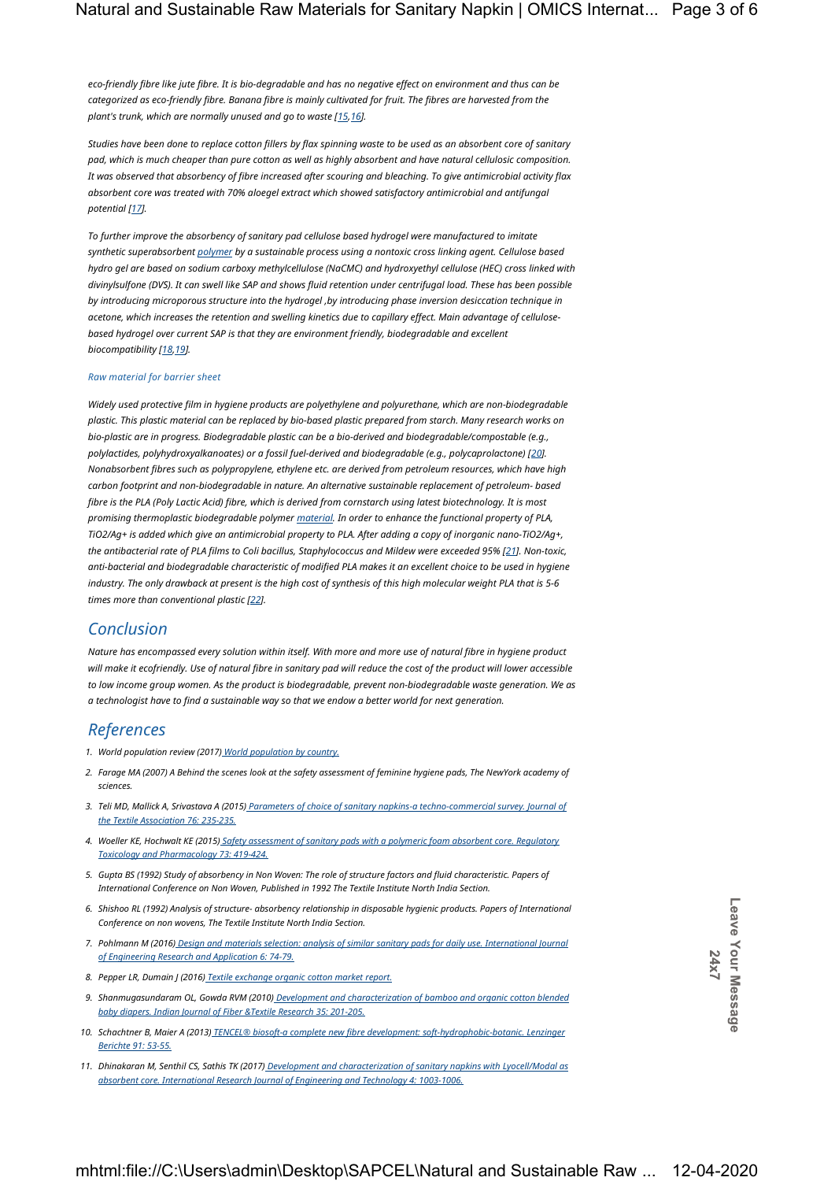*eco-friendly fibre like jute fibre. It is bio-degradable and has no negative effect on environment and thus can be categorized as eco-friendly fibre. Banana fibre is mainly cultivated for fruit. The fibres are harvested from the plant's trunk, which are normally unused and go to waste [15,16].*

*Studies have been done to replace cotton fillers by flax spinning waste to be used as an absorbent core of sanitary pad, which is much cheaper than pure cotton as well as highly absorbent and have natural cellulosic composition. It was observed that absorbency of fibre increased after scouring and bleaching. To give antimicrobial activity flax absorbent core was treated with 70% aloegel extract which showed satisfactory antimicrobial and antifungal potential [17].*

*To further improve the absorbency of sanitary pad cellulose based hydrogel were manufactured to imitate synthetic superabsorbent polymer by a sustainable process using a nontoxic cross linking agent. Cellulose based hydro gel are based on sodium carboxy methylcellulose (NaCMC) and hydroxyethyl cellulose (HEC) cross linked with divinylsulfone (DVS). It can swell like SAP and shows fluid retention under centrifugal load. These has been possible by introducing microporous structure into the hydrogel ,by introducing phase inversion desiccation technique in acetone, which increases the retention and swelling kinetics due to capillary effect. Main advantage of cellulosebased hydrogel over current SAP is that they are environment friendly, biodegradable and excellent biocompatibility [18,19].*

## *Raw material for barrier sheet*

*Widely used protective film in hygiene products are polyethylene and polyurethane, which are non-biodegradable plastic. This plastic material can be replaced by bio-based plastic prepared from starch. Many research works on bio-plastic are in progress. Biodegradable plastic can be a bio-derived and biodegradable/compostable (e.g., polylactides, polyhydroxyalkanoates) or a fossil fuel-derived and biodegradable (e.g., polycaprolactone) [20]. Nonabsorbent fibres such as polypropylene, ethylene etc. are derived from petroleum resources, which have high carbon footprint and non-biodegradable in nature. An alternative sustainable replacement of petroleum- based fibre is the PLA (Poly Lactic Acid) fibre, which is derived from cornstarch using latest biotechnology. It is most promising thermoplastic biodegradable polymer material. In order to enhance the functional property of PLA, TiO2/Ag+ is added which give an antimicrobial property to PLA. After adding a copy of inorganic nano-TiO2/Ag+, the antibacterial rate of PLA films to Coli bacillus, Staphylococcus and Mildew were exceeded 95% [21]. Non-toxic, anti-bacterial and biodegradable characteristic of modified PLA makes it an excellent choice to be used in hygiene industry. The only drawback at present is the high cost of synthesis of this high molecular weight PLA that is 5-6 times more than conventional plastic [22].*

## *Conclusion*

*Nature has encompassed every solution within itself. With more and more use of natural fibre in hygiene product will make it ecofriendly. Use of natural fibre in sanitary pad will reduce the cost of the product will lower accessible to low income group women. As the product is biodegradable, prevent non-biodegradable waste generation. We as a technologist have to find a sustainable way so that we endow a better world for next generation.*

# *References*

- *1. World population review (2017) World population by country.*
- *2. Farage MA (2007) A Behind the scenes look at the safety assessment of feminine hygiene pads, The NewYork academy of sciences.*
- *3. Teli MD, Mallick A, Srivastava A (2015) Parameters of choice of sanitary napkins-a techno-commercial survey. Journal of the Textile Association 76: 235-235.*
- *4. Woeller KE, Hochwalt KE (2015) Safety assessment of sanitary pads with a polymeric foam absorbent core. Regulatory Toxicology and Pharmacology 73: 419-424.*
- *5. Gupta BS (1992) Study of absorbency in Non Woven: The role of structure factors and fluid characteristic. Papers of International Conference on Non Woven, Published in 1992 The Textile Institute North India Section.*
- *6. Shishoo RL (1992) Analysis of structure- absorbency relationship in disposable hygienic products. Papers of International Conference on non wovens, The Textile Institute North India Section.*
- *7. Pohlmann M (2016) Design and materials selection: analysis of similar sanitary pads for daily use. International Journal of Engineering Research and Application 6: 74-79.*
- *8. Pepper LR, Dumain J (2016) Textile exchange organic cotton market report.*
- *9. Shanmugasundaram OL, Gowda RVM (2010) Development and characterization of bamboo and organic cotton blended baby diapers. Indian Journal of Fiber &Textile Research 35: 201-205.*
- *10. Schachtner B, Maier A (2013) TENCEL® biosoft-a complete new fibre development: soft-hydrophobic-botanic. Lenzinger Berichte 91: 53-55.*
- *11. Dhinakaran M, Senthil CS, Sathis TK (2017) Development and characterization of sanitary napkins with Lyocell/Modal as absorbent core. International Research Journal of Engineering and Technology 4: 1003-1006.*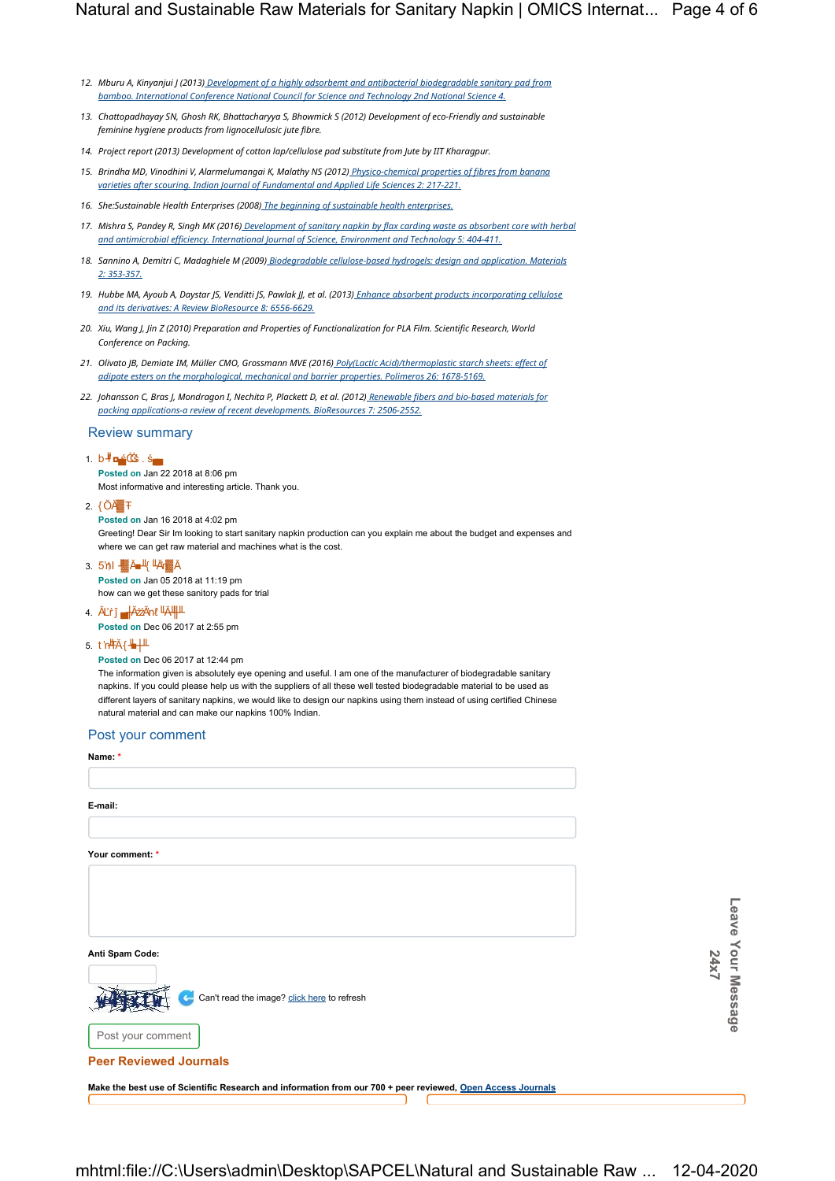- *12. Mburu A, Kinyanjui J (2013) Development of a highly adsorbemt and antibacterial biodegradable sanitary pad from bamboo. International Conference National Council for Science and Technology 2nd National Science 4.*
- *13. Chattopadhayay SN, Ghosh RK, Bhattacharyya S, Bhowmick S (2012) Development of eco-Friendly and sustainable feminine hygiene products from lignocellulosic jute fibre.*
- *14. Project report (2013) Development of cotton lap/cellulose pad substitute from Jute by IIT Kharagpur.*
- *15. Brindha MD, Vinodhini V, Alarmelumangai K, Malathy NS (2012) Physico-chemical properties of fibres from banana varieties after scouring. Indian Journal of Fundamental and Applied Life Sciences 2: 217-221.*
- *16. She:Sustainable Health Enterprises (2008) The beginning of sustainable health enterprises.*
- *17. Mishra S, Pandey R, Singh MK (2016) Development of sanitary napkin by flax carding waste as absorbent core with herbal and antimicrobial efficiency. International Journal of Science, Environment and Technology 5: 404-411.*
- *18. Sannino A, Demitri C, Madaghiele M (2009) Biodegradable cellulose-based hydrogels: design and application. Materials 2: 353-357.*
- *19. Hubbe MA, Ayoub A, Daystar JS, Venditti JS, Pawlak JJ, et al. (2013) Enhance absorbent products incorporating cellulose and its derivatives: A Review BioResource 8: 6556-6629.*
- *20. Xiu, Wang J, Jin Z (2010) Preparation and Properties of Functionalization for PLA Film. Scientific Research, World Conference on Packing.*
- *21. Olivato JB, Demiate IM, Müller CMO, Grossmann MVE (2016) Poly(Lactic Acid)/thermoplastic starch sheets: effect of adipate esters on the morphological, mechanical and barrier properties. Polimeros 26: 1678-5169.*
- *22. Johansson C, Bras J, Mondragon I, Nechita P, Plackett D, et al. (2012) Renewable fibers and bio-based materials for packing applications-a review of recent developments. BioResources 7: 2506-2552.* 2. Johansson C, Bras J, Mondragon I, N<br>packing applications-a review of red<br>Review Summary<br>1. b  $\frac{1}{2}$  **n**  $\frac{1}{2}$  **c**  $\frac{1}{2}$ <br>Posted on Jan 22 2018 at 8:06 pm

## Review summary

**Posted on** Jan 22 2018 at 8:06 pm Most informative and interesting article. Thank you.

## 2. {ŎĂ▓Ŧ

**Posted on** Jan 16 2018 at 4:02 pm

Greeting! Dear Sir Im looking to start sanitary napkin production can you explain me about the budget and expenses and where we can get raw material and machines what is the cost. 2.  $\{\bigcirc\}$  **Posted on Jan 16 2018 at 4:02 pm**<br>
Greeting! Dear Sir Im looking to start sanitary nap<br>
where we can get raw material and machines wha<br>
3.  $5\ln 1$   $\frac{10}{24}$   $\frac{11}{4}$   $\frac{11}{4}$   $\frac{11}{4}$   $\frac{11}{4}$   $\frac{1$ 

how can we get these sanitory pads for trial

# 4.  $\frac{\lambda}{\Delta}$  if  $\frac{\mu}{\Delta}$  if  $\frac{\mu}{\Delta}$  if  $\frac{\mu}{\Delta}$  if  $\frac{\mu}{\Delta}$  is a transfer of  $\lambda$  is a transfer of  $\frac{\lambda}{\Delta}$  if  $\frac{\mu}{\Delta}$  if  $\frac{\mu}{\Delta}$  if  $\frac{\mu}{\Delta}$  if  $\frac{\mu}{\Delta}$  if  $\frac{\mu}{\Delta}$  if  $\frac{\mu}{\Delta}$  if  $\frac{\mu}{\Delta}$  if 4. ĂĽŕĵ <del>- | Ăźź</del>Ăn{ U<del>ĂЩII</del><br>Posted on Dec 06 20<br>5. t 'n **4**TĂ{ <del>" -</del> | + L

**Posted on** Dec 06 2017 at 2:55 pm

## **Posted on** Dec 06 2017 at 12:44 pm

The information given is absolutely eye opening and useful. I am one of the manufacturer of biodegradable sanitary napkins. If you could please help us with the suppliers of all these well tested biodegradable material to be used as different layers of sanitary napkins, we would like to design our napkins using them instead of using certified Chinese natural material and can make our napkins 100% Indian.

## Post your comment

| Name: *                                                                                                     |          |
|-------------------------------------------------------------------------------------------------------------|----------|
|                                                                                                             |          |
| E-mail:                                                                                                     |          |
|                                                                                                             |          |
| Your comment: *                                                                                             |          |
|                                                                                                             |          |
|                                                                                                             |          |
|                                                                                                             |          |
| Anti Spam Code:                                                                                             |          |
|                                                                                                             | $1x + 7$ |
| Can't read the image? click here to refresh<br>$\leftarrow$                                                 |          |
| Post your comment                                                                                           |          |
| <b>Peer Reviewed Journals</b>                                                                               |          |
| Make the best use of Scientific Research and information from our 700 + peer reviewed, Open Access Journals |          |

Leave Your Messag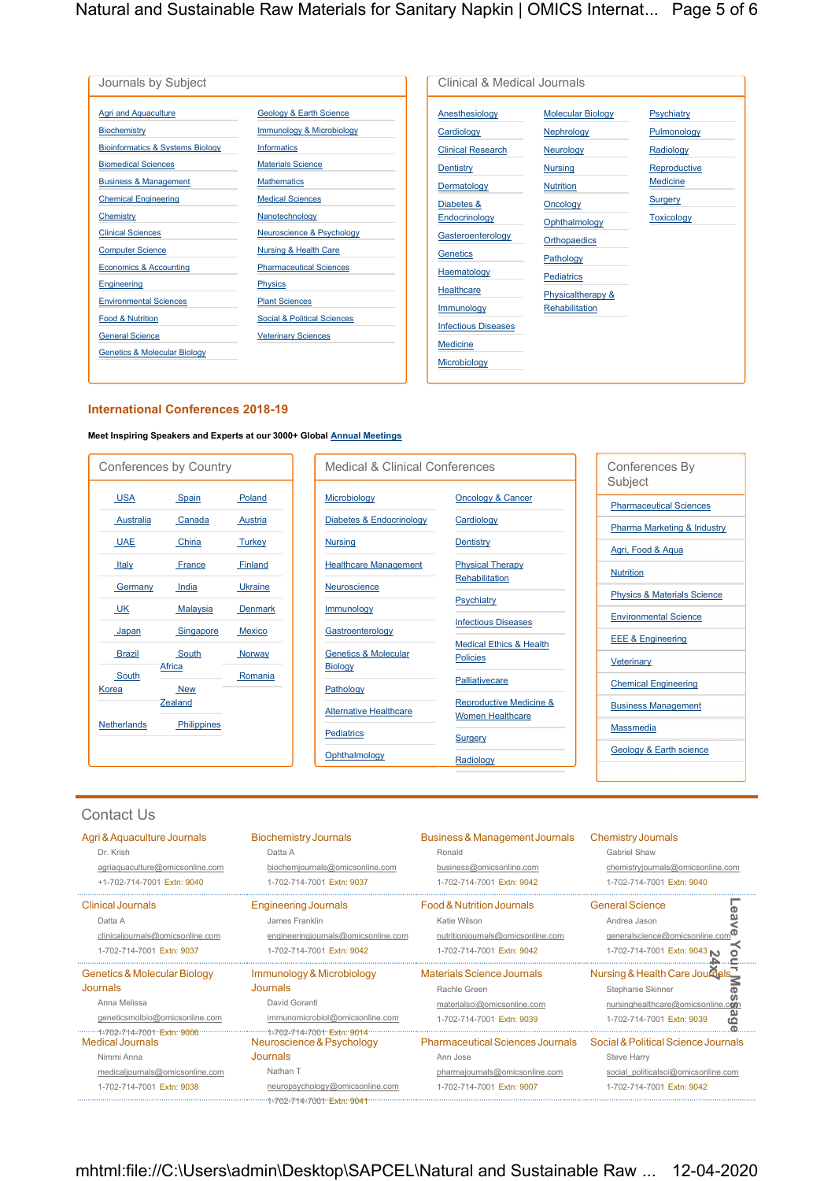| Journals by Subject                                                                                                                                                                                                                                                                                                                                                                                                                    |                                                                                                                                                                                                                                                                                                                                                                                      | Clinical & Medical Journals                                                                                                                                                                                                                                             |                                                                                                                                                                                                                        |                                                                                                    |
|----------------------------------------------------------------------------------------------------------------------------------------------------------------------------------------------------------------------------------------------------------------------------------------------------------------------------------------------------------------------------------------------------------------------------------------|--------------------------------------------------------------------------------------------------------------------------------------------------------------------------------------------------------------------------------------------------------------------------------------------------------------------------------------------------------------------------------------|-------------------------------------------------------------------------------------------------------------------------------------------------------------------------------------------------------------------------------------------------------------------------|------------------------------------------------------------------------------------------------------------------------------------------------------------------------------------------------------------------------|----------------------------------------------------------------------------------------------------|
| Agri and Aquaculture<br>Biochemistry<br><b>Bioinformatics &amp; Systems Biology</b><br><b>Biomedical Sciences</b><br><b>Business &amp; Management</b><br><b>Chemical Engineering</b><br>Chemistry<br><b>Clinical Sciences</b><br><b>Computer Science</b><br><b>Economics &amp; Accounting</b><br>Engineering<br><b>Environmental Sciences</b><br>Food & Nutrition<br><b>General Science</b><br><b>Genetics &amp; Molecular Biology</b> | Geology & Earth Science<br><b>Immunology &amp; Microbiology</b><br><b>Informatics</b><br><b>Materials Science</b><br><b>Mathematics</b><br><b>Medical Sciences</b><br>Nanotechnology<br>Neuroscience & Psychology<br>Nursing & Health Care<br><b>Pharmaceutical Sciences</b><br><b>Physics</b><br><b>Plant Sciences</b><br>Social & Political Sciences<br><b>Veterinary Sciences</b> | Anesthesiology<br>Cardiology<br><b>Clinical Research</b><br>Dentistry<br>Dermatology<br>Diabetes &<br>Endocrinology<br>Gasteroenterology<br>Genetics<br>Haematology<br><b>Healthcare</b><br><b>Immunology</b><br><b>Infectious Diseases</b><br>Medicine<br>Microbiology | <b>Molecular Biology</b><br>Nephrology<br>Neurology<br><b>Nursing</b><br><b>Nutrition</b><br>Oncology<br>Ophthalmology<br><b>Orthopaedics</b><br>Pathology<br><b>Pediatrics</b><br>Physicaltherapy &<br>Rehabilitation | Psychiatry<br>Pulmonology<br>Radiology<br>Reproductive<br><b>Medicine</b><br>Surgery<br>Toxicology |

## **International Conferences 2018-19**

**Meet Inspiring Speakers and Experts at our 3000+ Global Annual Meetings**

| Conferences by Country |                                 |                |  |
|------------------------|---------------------------------|----------------|--|
| <b>USA</b>             | Spain                           | Poland         |  |
| Australia              | Canada                          | Austria        |  |
| <b>UAE</b>             | China                           | Turkey         |  |
| <b>Italy</b>           | France                          | Finland        |  |
| Germany                | India                           | <b>Ukraine</b> |  |
| UK                     | Malaysia                        | <b>Denmark</b> |  |
| Japan                  | Singapore                       | Mexico         |  |
| <b>Brazil</b>          | South                           | Norway         |  |
| South<br>Korea         | Africa<br><b>New</b><br>Zealand | Romania        |  |
| <b>Netherlands</b>     | Philippines                     |                |  |
|                        |                                 |                |  |

| <b>Medical &amp; Clinical Conferences</b>         |                                                               |  |  |
|---------------------------------------------------|---------------------------------------------------------------|--|--|
| Microbiology                                      | Oncology & Cancer                                             |  |  |
| Diabetes & Endocrinology                          | Cardiology                                                    |  |  |
| <b>Nursing</b>                                    | Dentistry                                                     |  |  |
| <b>Healthcare Management</b>                      | <b>Physical Therapy</b>                                       |  |  |
| Neuroscience                                      | <b>Rehabilitation</b>                                         |  |  |
| Immunology                                        | <b>Psychiatry</b>                                             |  |  |
| Gastroenterology                                  | <b>Infectious Diseases</b>                                    |  |  |
| <b>Genetics &amp; Molecular</b><br><b>Biology</b> | <b>Medical Ethics &amp; Health</b><br><b>Policies</b>         |  |  |
| Pathology                                         | Palliativecare                                                |  |  |
| <b>Alternative Healthcare</b>                     | <b>Reproductive Medicine &amp;</b><br><b>Women Healthcare</b> |  |  |
| <b>Pediatrics</b>                                 | <b>Surgery</b>                                                |  |  |
| Ophthalmology                                     | Radiology                                                     |  |  |

| Conferences By<br>Subject              |
|----------------------------------------|
| <b>Pharmaceutical Sciences</b>         |
| Pharma Marketing & Industry            |
| Agri, Food & Agua                      |
| <b>Nutrition</b>                       |
| <b>Physics &amp; Materials Science</b> |
| <b>Environmental Science</b>           |
| <b>EEE &amp; Engineering</b>           |
| Veterinary                             |
| <b>Chemical Engineering</b>            |
| <b>Business Management</b>             |
| Massmedia                              |
| Geology & Earth science                |
|                                        |

# Contact Us

| Agri & Aquaculture Journals                                                                    | <b>Biochemistry Journals</b>                                                                                      | Business & Management Journals                                                                                     | <b>Chemistry Journals</b>                                                                                                       |
|------------------------------------------------------------------------------------------------|-------------------------------------------------------------------------------------------------------------------|--------------------------------------------------------------------------------------------------------------------|---------------------------------------------------------------------------------------------------------------------------------|
| Dr. Krish                                                                                      | Datta A                                                                                                           | Ronald                                                                                                             | <b>Gabriel Shaw</b>                                                                                                             |
| agriaguaculture@omicsonline.com                                                                | biochemjournals@omicsonline.com                                                                                   | business@omicsonline.com                                                                                           | chemistryjournals@omicsonline.com                                                                                               |
| +1-702-714-7001 Extn: 9040                                                                     | 1-702-714-7001 Extn: 9037                                                                                         | 1-702-714-7001 Extn: 9042                                                                                          | 1-702-714-7001 Extn: 9040                                                                                                       |
| Clinical Journals                                                                              | <b>Engineering Journals</b>                                                                                       | Food & Nutrition Journals                                                                                          | <b>General Science</b>                                                                                                          |
| Datta A                                                                                        | James Franklin                                                                                                    | Katie Wilson                                                                                                       | Andrea Jason                                                                                                                    |
| clinicaljournals@omicsonline.com                                                               | engineeringjournals@omicsonline.com                                                                               | nutritionjournals@omicsonline.com                                                                                  | generalscience@omicsonline.con                                                                                                  |
| 1-702-714-7001 Extn: 9037                                                                      | 1-702-714-7001 Extn: 9042                                                                                         | 1-702-714-7001 Extn: 9042                                                                                          | 1-702-714-7001 Extn: 9043                                                                                                       |
| Genetics & Molecular Biology<br>Journals<br>Anna Melissa<br>geneticsmolbio@omicsonline.com     | Immunology & Microbiology<br><b>Journals</b><br>David Gorantl<br>immunomicrobiol@omicsonline.com                  | Materials Science Journals<br>Rachle Green<br>materialsci@omicsonline.com<br>1-702-714-7001 Fxtn: 9039             | Nursing & Health Care Journals<br>Stephanie Skinner<br>nursinghealthcare@omicsonline.com<br>ω<br>1-702-714-7001 Fxtn: 9039<br>m |
| Medical Journals<br>Nimmi Anna<br>medicaljournals@omicsonline.com<br>1-702-714-7001 Extn: 9038 | 1-702-714-7001 Extn: 9014<br>Neuroscience & Psychology<br>Journals<br>Nathan T<br>neuropsychology@omicsonline.com | <b>Pharmaceutical Sciences Journals</b><br>Ann Jose<br>pharmajournals@omicsonline.com<br>1-702-714-7001 Extn: 9007 | Social & Political Science Journals<br><b>Steve Harry</b><br>social politicalsci@omicsonline.com<br>1-702-714-7001 Fxtn: 9042   |